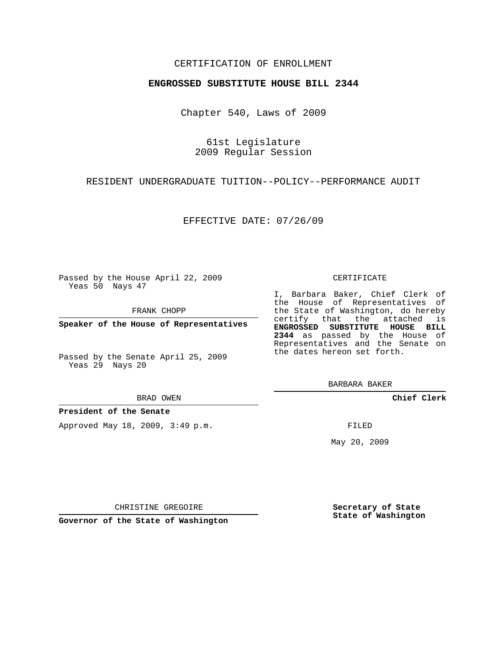## CERTIFICATION OF ENROLLMENT

### **ENGROSSED SUBSTITUTE HOUSE BILL 2344**

Chapter 540, Laws of 2009

61st Legislature 2009 Regular Session

RESIDENT UNDERGRADUATE TUITION--POLICY--PERFORMANCE AUDIT

EFFECTIVE DATE: 07/26/09

Passed by the House April 22, 2009 Yeas 50 Nays 47

FRANK CHOPP

**Speaker of the House of Representatives**

Passed by the Senate April 25, 2009 Yeas 29 Nays 20

### **President of the Senate**

Approved May 18, 2009, 3:49 p.m.

#### CERTIFICATE

I, Barbara Baker, Chief Clerk of the House of Representatives of the State of Washington, do hereby certify that the attached is **ENGROSSED SUBSTITUTE HOUSE BILL 2344** as passed by the House of Representatives and the Senate on the dates hereon set forth.

BARBARA BAKER

**Chief Clerk**

FILED

May 20, 2009

**Secretary of State State of Washington**

CHRISTINE GREGOIRE

**Governor of the State of Washington**

# BRAD OWEN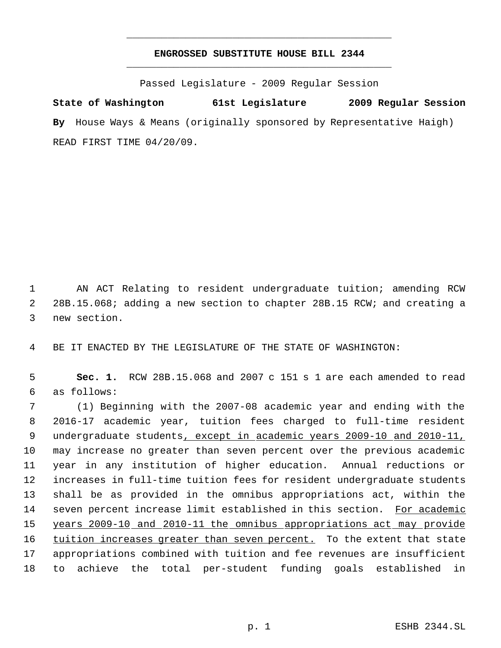## **ENGROSSED SUBSTITUTE HOUSE BILL 2344** \_\_\_\_\_\_\_\_\_\_\_\_\_\_\_\_\_\_\_\_\_\_\_\_\_\_\_\_\_\_\_\_\_\_\_\_\_\_\_\_\_\_\_\_\_

\_\_\_\_\_\_\_\_\_\_\_\_\_\_\_\_\_\_\_\_\_\_\_\_\_\_\_\_\_\_\_\_\_\_\_\_\_\_\_\_\_\_\_\_\_

Passed Legislature - 2009 Regular Session

**State of Washington 61st Legislature 2009 Regular Session By** House Ways & Means (originally sponsored by Representative Haigh) READ FIRST TIME 04/20/09.

 AN ACT Relating to resident undergraduate tuition; amending RCW 28B.15.068; adding a new section to chapter 28B.15 RCW; and creating a new section.

BE IT ENACTED BY THE LEGISLATURE OF THE STATE OF WASHINGTON:

 **Sec. 1.** RCW 28B.15.068 and 2007 c 151 s 1 are each amended to read as follows:

 (1) Beginning with the 2007-08 academic year and ending with the 2016-17 academic year, tuition fees charged to full-time resident 9 undergraduate students, except in academic years 2009-10 and 2010-11, may increase no greater than seven percent over the previous academic year in any institution of higher education. Annual reductions or increases in full-time tuition fees for resident undergraduate students shall be as provided in the omnibus appropriations act, within the seven percent increase limit established in this section. For academic years 2009-10 and 2010-11 the omnibus appropriations act may provide 16 tuition increases greater than seven percent. To the extent that state appropriations combined with tuition and fee revenues are insufficient to achieve the total per-student funding goals established in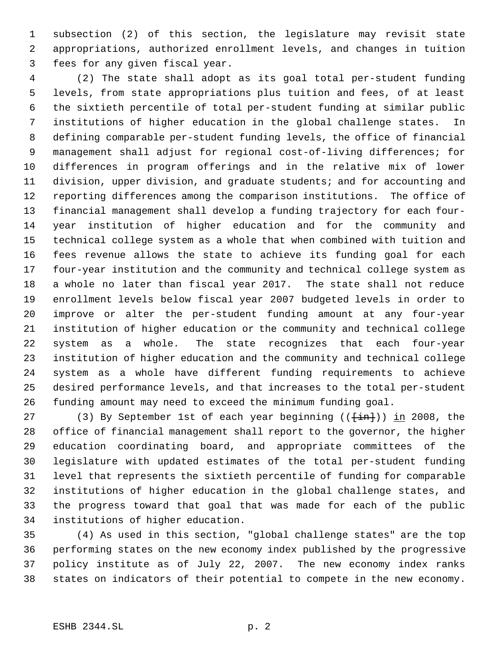subsection (2) of this section, the legislature may revisit state appropriations, authorized enrollment levels, and changes in tuition fees for any given fiscal year.

 (2) The state shall adopt as its goal total per-student funding levels, from state appropriations plus tuition and fees, of at least the sixtieth percentile of total per-student funding at similar public institutions of higher education in the global challenge states. In defining comparable per-student funding levels, the office of financial management shall adjust for regional cost-of-living differences; for differences in program offerings and in the relative mix of lower division, upper division, and graduate students; and for accounting and reporting differences among the comparison institutions. The office of financial management shall develop a funding trajectory for each four- year institution of higher education and for the community and technical college system as a whole that when combined with tuition and fees revenue allows the state to achieve its funding goal for each four-year institution and the community and technical college system as a whole no later than fiscal year 2017. The state shall not reduce enrollment levels below fiscal year 2007 budgeted levels in order to improve or alter the per-student funding amount at any four-year institution of higher education or the community and technical college system as a whole. The state recognizes that each four-year institution of higher education and the community and technical college system as a whole have different funding requirements to achieve desired performance levels, and that increases to the total per-student funding amount may need to exceed the minimum funding goal.

27 (3) By September 1st of each year beginning  $((\text{fin})$ ) in 2008, the office of financial management shall report to the governor, the higher education coordinating board, and appropriate committees of the legislature with updated estimates of the total per-student funding level that represents the sixtieth percentile of funding for comparable institutions of higher education in the global challenge states, and the progress toward that goal that was made for each of the public institutions of higher education.

 (4) As used in this section, "global challenge states" are the top performing states on the new economy index published by the progressive policy institute as of July 22, 2007. The new economy index ranks states on indicators of their potential to compete in the new economy.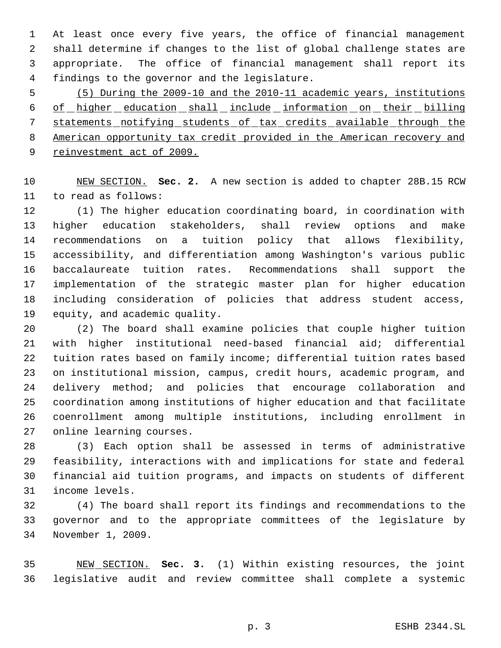At least once every five years, the office of financial management shall determine if changes to the list of global challenge states are appropriate. The office of financial management shall report its findings to the governor and the legislature.

 (5) During the 2009-10 and the 2010-11 academic years, institutions 6 of higher education shall include information on their billing statements notifying students of tax credits available through the American opportunity tax credit provided in the American recovery and 9 reinvestment act of 2009.

 NEW SECTION. **Sec. 2.** A new section is added to chapter 28B.15 RCW to read as follows:

 (1) The higher education coordinating board, in coordination with higher education stakeholders, shall review options and make recommendations on a tuition policy that allows flexibility, accessibility, and differentiation among Washington's various public baccalaureate tuition rates. Recommendations shall support the implementation of the strategic master plan for higher education including consideration of policies that address student access, equity, and academic quality.

 (2) The board shall examine policies that couple higher tuition with higher institutional need-based financial aid; differential tuition rates based on family income; differential tuition rates based on institutional mission, campus, credit hours, academic program, and delivery method; and policies that encourage collaboration and coordination among institutions of higher education and that facilitate coenrollment among multiple institutions, including enrollment in online learning courses.

 (3) Each option shall be assessed in terms of administrative feasibility, interactions with and implications for state and federal financial aid tuition programs, and impacts on students of different income levels.

 (4) The board shall report its findings and recommendations to the governor and to the appropriate committees of the legislature by November 1, 2009.

 NEW SECTION. **Sec. 3.** (1) Within existing resources, the joint legislative audit and review committee shall complete a systemic